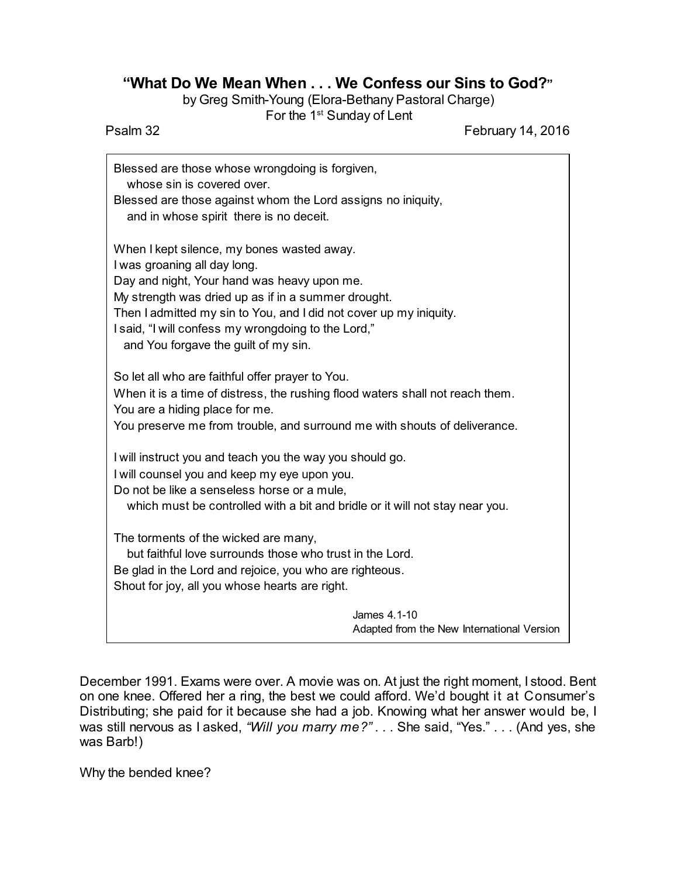## **"What Do We Mean When . . . We Confess our Sins to God?"**

by Greg Smith-Young (Elora-Bethany Pastoral Charge)

For the 1<sup>st</sup> Sunday of Lent Psalm 32 February 14, 2016

| Blessed are those whose wrongdoing is forgiven,<br>whose sin is covered over.               |
|---------------------------------------------------------------------------------------------|
| Blessed are those against whom the Lord assigns no iniquity,                                |
| and in whose spirit there is no deceit.                                                     |
| When I kept silence, my bones wasted away.                                                  |
| I was groaning all day long.                                                                |
| Day and night, Your hand was heavy upon me.                                                 |
| My strength was dried up as if in a summer drought.                                         |
| Then I admitted my sin to You, and I did not cover up my iniquity.                          |
| I said, "I will confess my wrongdoing to the Lord,"<br>and You forgave the guilt of my sin. |
| So let all who are faithful offer prayer to You.                                            |
| When it is a time of distress, the rushing flood waters shall not reach them.               |
| You are a hiding place for me.                                                              |
| You preserve me from trouble, and surround me with shouts of deliverance.                   |
| I will instruct you and teach you the way you should go.                                    |
| I will counsel you and keep my eye upon you.                                                |
| Do not be like a senseless horse or a mule,                                                 |
| which must be controlled with a bit and bridle or it will not stay near you.                |
| The torments of the wicked are many,                                                        |
| but faithful love surrounds those who trust in the Lord.                                    |
| Be glad in the Lord and rejoice, you who are righteous.                                     |
| Shout for joy, all you whose hearts are right.                                              |
| James 4.1-10                                                                                |
| Adapted from the New International Version                                                  |

December 1991. Exams were over. A movie was on. At just the right moment, I stood. Bent on one knee. Offered her a ring, the best we could afford. We'd bought it at Consumer's Distributing; she paid for it because she had a job. Knowing what her answer would be, I was still nervous as I asked, *"Will you marry me?"* . . . She said, "Yes." . . . (And yes, she was Barb!)

Why the bended knee?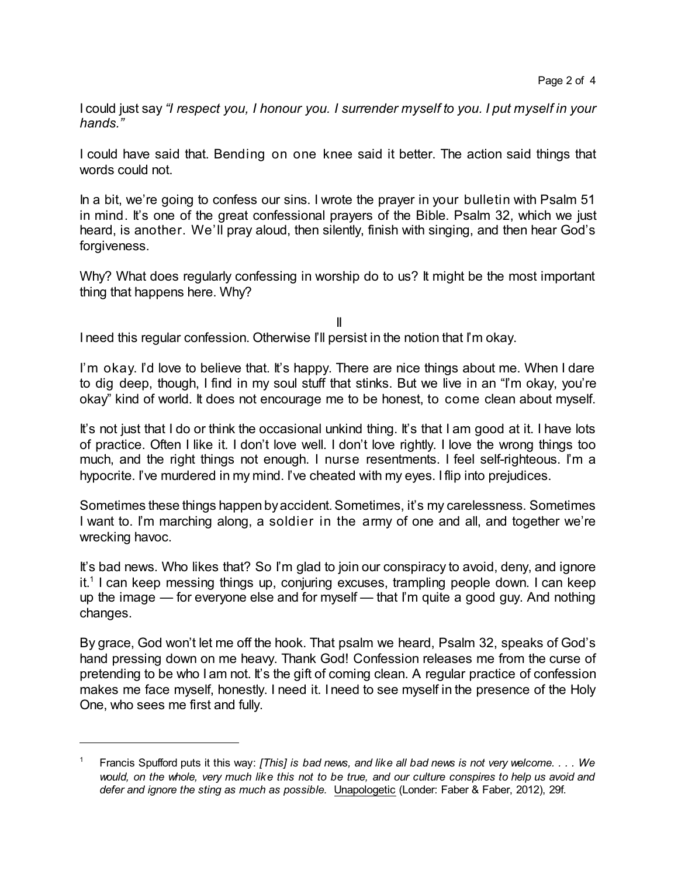I could just say *"I respect you, I honour you. I surrender myself to you. I put myself in your hands."*

I could have said that. Bending on one knee said it better. The action said things that words could not.

In a bit, we're going to confess our sins. I wrote the prayer in your bulletin with Psalm 51 in mind. It's one of the great confessional prayers of the Bible. Psalm 32, which we just heard, is another. We'll pray aloud, then silently, finish with singing, and then hear God's forgiveness.

Why? What does regularly confessing in worship do to us? It might be the most important thing that happens here. Why?

II I need this regular confession. Otherwise I'll persist in the notion that I'm okay.

I'm okay. I'd love to believe that. It's happy. There are nice things about me. When I dare to dig deep, though, I find in my soul stuff that stinks. But we live in an "I'm okay, you're okay" kind of world. It does not encourage me to be honest, to come clean about myself.

It's not just that I do or think the occasional unkind thing. It's that I am good at it. I have lots of practice. Often I like it. I don't love well. I don't love rightly. I love the wrong things too much, and the right things not enough. I nurse resentments. I feel self-righteous. I'm a hypocrite. I've murdered in my mind. I've cheated with my eyes. I flip into prejudices.

Sometimes these things happen byaccident.Sometimes, it's my carelessness. Sometimes I want to. I'm marching along, a soldier in the army of one and all, and together we're wrecking havoc.

It's bad news. Who likes that? So I'm glad to join our conspiracy to avoid, deny, and ignore it. 1 I can keep messing things up, conjuring excuses, trampling people down. I can keep up the image — for everyone else and for myself — that I'm quite a good guy. And nothing changes.

By grace, God won't let me off the hook. That psalm we heard, Psalm 32, speaks of God's hand pressing down on me heavy. Thank God! Confession releases me from the curse of pretending to be who I am not. It's the gift of coming clean. A regular practice of confession makes me face myself, honestly. I need it. I need to see myself in the presence of the Holy One, who sees me first and fully.

<sup>1</sup> Francis Spufford puts it this way: *[This] is bad news, and like all bad news is not very welcome. . . . We* would, on the whole, very much like this not to be true, and our culture conspires to help us avoid and *defer and ignore the sting as much as possible.* Unapologetic (Londer: Faber & Faber, 2012), 29f.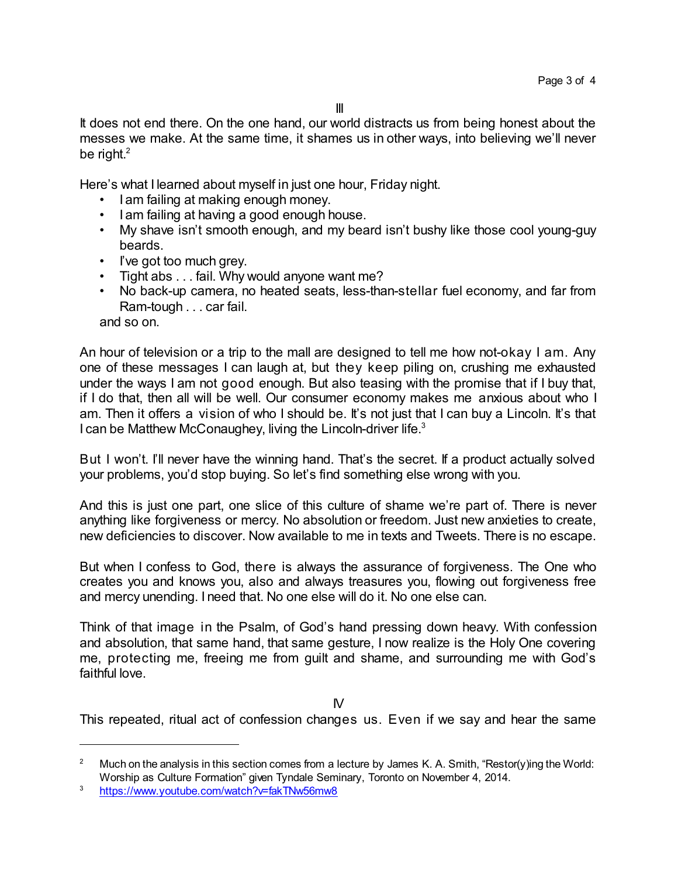It does not end there. On the one hand, our world distracts us from being honest about the messes we make. At the same time, it shames us in other ways, into believing we'll never be right. $^{\rm 2}$ 

Here's what I learned about myself in just one hour, Friday night.

- I am failing at making enough money.
- I am failing at having a good enough house.
- My shave isn't smooth enough, and my beard isn't bushy like those cool young-guy beards.
- I've got too much grey.
- Tight abs . . . fail. Why would anyone want me?
- No back-up camera, no heated seats, less-than-stellar fuel economy, and far from Ram-tough . . . car fail.

and so on.

An hour of television or a trip to the mall are designed to tell me how not-okay I am. Any one of these messages I can laugh at, but they keep piling on, crushing me exhausted under the ways I am not good enough. But also teasing with the promise that if I buy that, if I do that, then all will be well. Our consumer economy makes me anxious about who I am. Then it offers a vision of who I should be. It's not just that I can buy a Lincoln. It's that I can be Matthew McConaughey, living the Lincoln-driver life.<sup>3</sup>

But I won't. I'll never have the winning hand. That's the secret. If a product actually solved your problems, you'd stop buying. So let's find something else wrong with you.

And this is just one part, one slice of this culture of shame we're part of. There is never anything like forgiveness or mercy. No absolution or freedom. Just new anxieties to create, new deficiencies to discover. Now available to me in texts and Tweets. There is no escape.

But when I confess to God, there is always the assurance of forgiveness. The One who creates you and knows you, also and always treasures you, flowing out forgiveness free and mercy unending. I need that. No one else will do it. No one else can.

Think of that image in the Psalm, of God's hand pressing down heavy. With confession and absolution, that same hand, that same gesture, I now realize is the Holy One covering me, protecting me, freeing me from guilt and shame, and surrounding me with God's faithful love.

 $\mathsf{N}$ 

This repeated, ritual act of confession changes us. Even if we say and hear the same

<sup>&</sup>lt;sup>2</sup> Much on the analysis in this section comes from a lecture by James K. A. Smith, "Restor(y)ing the World: Worship as Culture Formation" given Tyndale Seminary, Toronto on November 4, 2014.

<sup>3</sup> <https://www.youtube.com/watch?v=fakTNw56mw8>